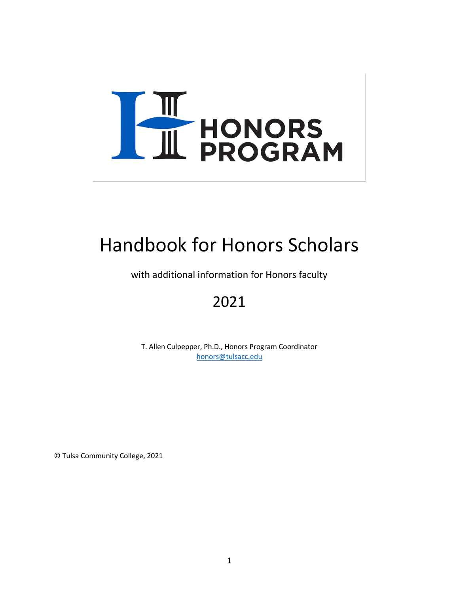

# Handbook for Honors Scholars

with additional information for Honors faculty

# 2021

T. Allen Culpepper, Ph.D., Honors Program Coordinator [honors@tulsacc.edu](mailto:honors@tulsacc.edu)

© Tulsa Community College, 2021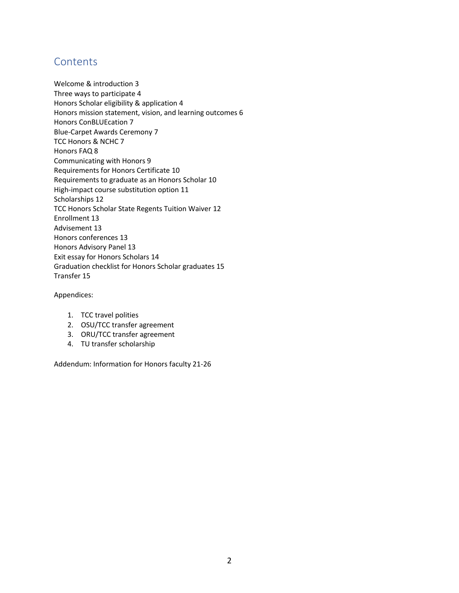## **Contents**

Welcome & introduction 3 Three ways to participate 4 Honors Scholar eligibility & application 4 Honors mission statement, vision, and learning outcomes 6 Honors ConBLUEcation 7 Blue-Carpet Awards Ceremony 7 TCC Honors & NCHC 7 Honors FAQ 8 Communicating with Honors 9 Requirements for Honors Certificate 10 Requirements to graduate as an Honors Scholar 10 High-impact course substitution option 11 Scholarships 12 TCC Honors Scholar State Regents Tuition Waiver 12 Enrollment 13 Advisement 13 Honors conferences 13 Honors Advisory Panel 13 Exit essay for Honors Scholars 14 Graduation checklist for Honors Scholar graduates 15 Transfer 15

### Appendices:

- 1. TCC travel polities
- 2. OSU/TCC transfer agreement
- 3. ORU/TCC transfer agreement
- 4. TU transfer scholarship

Addendum: Information for Honors faculty 21-26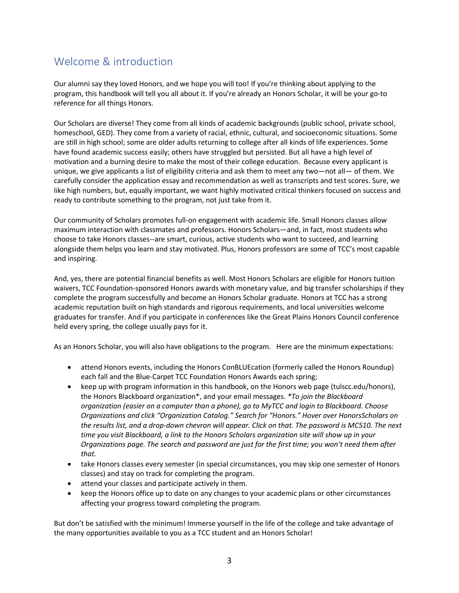# Welcome & introduction

Our alumni say they loved Honors, and we hope you will too! If you're thinking about applying to the program, this handbook will tell you all about it. If you're already an Honors Scholar, it will be your go-to reference for all things Honors.

Our Scholars are diverse! They come from all kinds of academic backgrounds (public school, private school, homeschool, GED). They come from a variety of racial, ethnic, cultural, and socioeconomic situations. Some are still in high school; some are older adults returning to college after all kinds of life experiences. Some have found academic success easily; others have struggled but persisted. But all have a high level of motivation and a burning desire to make the most of their college education. Because every applicant is unique, we give applicants a list of eligibility criteria and ask them to meet any two—not all— of them. We carefully consider the application essay and recommendation as well as transcripts and test scores. Sure, we like high numbers, but, equally important, we want highly motivated critical thinkers focused on success and ready to contribute something to the program, not just take from it.

Our community of Scholars promotes full-on engagement with academic life. Small Honors classes allow maximum interaction with classmates and professors. Honors Scholars—and, in fact, most students who choose to take Honors classes--are smart, curious, active students who want to succeed, and learning alongside them helps you learn and stay motivated. Plus, Honors professors are some of TCC's most capable and inspiring.

And, yes, there are potential financial benefits as well. Most Honors Scholars are eligible for Honors tuition waivers, TCC Foundation-sponsored Honors awards with monetary value, and big transfer scholarships if they complete the program successfully and become an Honors Scholar graduate. Honors at TCC has a strong academic reputation built on high standards and rigorous requirements, and local universities welcome graduates for transfer. And if you participate in conferences like the Great Plains Honors Council conference held every spring, the college usually pays for it.

As an Honors Scholar, you will also have obligations to the program. Here are the minimum expectations:

- attend Honors events, including the Honors ConBLUEcation (formerly called the Honors Roundup) each fall and the Blue-Carpet TCC Foundation Honors Awards each spring;
- keep up with program information in this handbook, on the Honors web page (tulscc.edu/honors), the Honors Blackboard organization\*, and your email messages. *\*To join the Blackboard organization (easier on a computer than a phone), go to MyTCC and login to Blackboard. Choose Organizations and click "Organization Catalog." Search for "Honors." Hover over HonorsScholars on the results list, and a drop-down chevron will appear. Click on that. The password is MC510. The next time you visit Blackboard, a link to the Honors Scholars organization site will show up in your Organizations page. The search and password are just for the first time; you won't need them after that.*
- take Honors classes every semester (in special circumstances, you may skip one semester of Honors classes) and stay on track for completing the program.
- attend your classes and participate actively in them.
- keep the Honors office up to date on any changes to your academic plans or other circumstances affecting your progress toward completing the program.

But don't be satisfied with the minimum! Immerse yourself in the life of the college and take advantage of the many opportunities available to you as a TCC student and an Honors Scholar!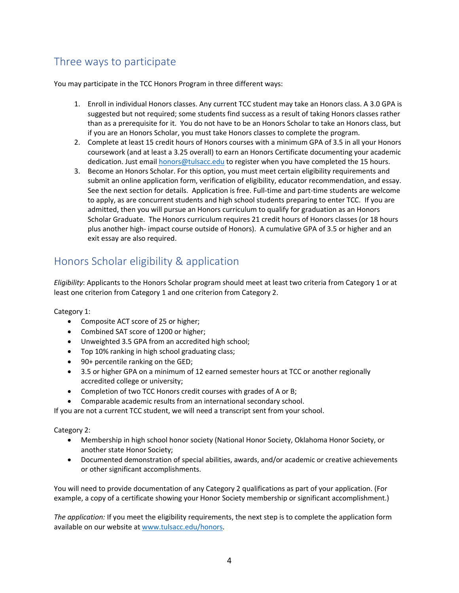# Three ways to participate

You may participate in the TCC Honors Program in three different ways:

- 1. Enroll in individual Honors classes. Any current TCC student may take an Honors class. A 3.0 GPA is suggested but not required; some students find success as a result of taking Honors classes rather than as a prerequisite for it. You do not have to be an Honors Scholar to take an Honors class, but if you are an Honors Scholar, you must take Honors classes to complete the program.
- 2. Complete at least 15 credit hours of Honors courses with a minimum GPA of 3.5 in all your Honors coursework (and at least a 3.25 overall) to earn an Honors Certificate documenting your academic dedication. Just email [honors@tulsacc.edu](mailto:honors@tulsacc.edu) to register when you have completed the 15 hours.
- 3. Become an Honors Scholar. For this option, you must meet certain eligibility requirements and submit an online application form, verification of eligibility, educator recommendation, and essay. See the next section for details. Application is free. Full-time and part-time students are welcome to apply, as are concurrent students and high school students preparing to enter TCC. If you are admitted, then you will pursue an Honors curriculum to qualify for graduation as an Honors Scholar Graduate. The Honors curriculum requires 21 credit hours of Honors classes (or 18 hours plus another high- impact course outside of Honors). A cumulative GPA of 3.5 or higher and an exit essay are also required.

### Honors Scholar eligibility & application

*Eligibility*: Applicants to the Honors Scholar program should meet at least two criteria from Category 1 or at least one criterion from Category 1 and one criterion from Category 2.

Category 1:

- Composite ACT score of 25 or higher;
- Combined SAT score of 1200 or higher;
- Unweighted 3.5 GPA from an accredited high school;
- Top 10% ranking in high school graduating class;
- 90+ percentile ranking on the GED;
- 3.5 or higher GPA on a minimum of 12 earned semester hours at TCC or another regionally accredited college or university;
- Completion of two TCC Honors credit courses with grades of A or B;
- Comparable academic results from an international secondary school.

If you are not a current TCC student, we will need a transcript sent from your school.

Category 2:

- Membership in high school honor society (National Honor Society, Oklahoma Honor Society, or another state Honor Society;
- Documented demonstration of special abilities, awards, and/or academic or creative achievements or other significant accomplishments.

You will need to provide documentation of any Category 2 qualifications as part of your application. (For example, a copy of a certificate showing your Honor Society membership or significant accomplishment.)

*The application:* If you meet the eligibility requirements, the next step is to complete the application form available on our website a[t www.tulsacc.edu/honors.](http://www.tulsacc.edu/honors)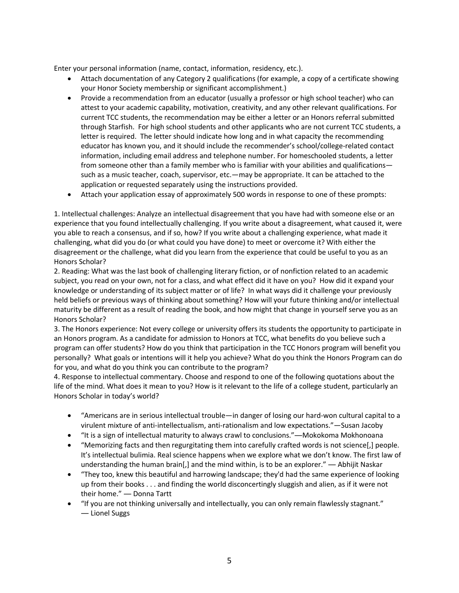Enter your personal information (name, contact, information, residency, etc.).

- Attach documentation of any Category 2 qualifications (for example, a copy of a certificate showing your Honor Society membership or significant accomplishment.)
- Provide a recommendation from an educator (usually a professor or high school teacher) who can attest to your academic capability, motivation, creativity, and any other relevant qualifications. For current TCC students, the recommendation may be either a letter or an Honors referral submitted through Starfish. For high school students and other applicants who are not current TCC students, a letter is required. The letter should indicate how long and in what capacity the recommending educator has known you, and it should include the recommender's school/college-related contact information, including email address and telephone number. For homeschooled students, a letter from someone other than a family member who is familiar with your abilities and qualifications such as a music teacher, coach, supervisor, etc.—may be appropriate. It can be attached to the application or requested separately using the instructions provided.
- Attach your application essay of approximately 500 words in response to one of these prompts:

1. Intellectual challenges: Analyze an intellectual disagreement that you have had with someone else or an experience that you found intellectually challenging. If you write about a disagreement, what caused it, were you able to reach a consensus, and if so, how? If you write about a challenging experience, what made it challenging, what did you do (or what could you have done) to meet or overcome it? With either the disagreement or the challenge, what did you learn from the experience that could be useful to you as an Honors Scholar?

2. Reading: What was the last book of challenging literary fiction, or of nonfiction related to an academic subject, you read on your own, not for a class, and what effect did it have on you? How did it expand your knowledge or understanding of its subject matter or of life? In what ways did it challenge your previously held beliefs or previous ways of thinking about something? How will your future thinking and/or intellectual maturity be different as a result of reading the book, and how might that change in yourself serve you as an Honors Scholar?

3. The Honors experience: Not every college or university offers its students the opportunity to participate in an Honors program. As a candidate for admission to Honors at TCC, what benefits do you believe such a program can offer students? How do you think that participation in the TCC Honors program will benefit you personally? What goals or intentions will it help you achieve? What do you think the Honors Program can do for you, and what do you think you can contribute to the program?

4. Response to intellectual commentary. Choose and respond to one of the following quotations about the life of the mind. What does it mean to you? How is it relevant to the life of a college student, particularly an Honors Scholar in today's world?

- "Americans are in serious intellectual trouble—in danger of losing our hard-won cultural capital to a virulent mixture of anti-intellectualism, anti-rationalism and low expectations."—Susan Jacoby
- "It is a sign of intellectual maturity to always crawl to conclusions."―Mokokoma Mokhonoana
- "Memorizing facts and then regurgitating them into carefully crafted words is not science[,] people. It's intellectual bulimia. Real science happens when we explore what we don't know. The first law of understanding the human brain[,] and the mind within, is to be an explorer." — Abhijit Naskar
- "They too, knew this beautiful and harrowing landscape; they'd had the same experience of looking up from their books . . . and finding the world disconcertingly sluggish and alien, as if it were not their home." ― Donna Tartt
- "If you are not thinking universally and intellectually, you can only remain flawlessly stagnant." ― Lionel Suggs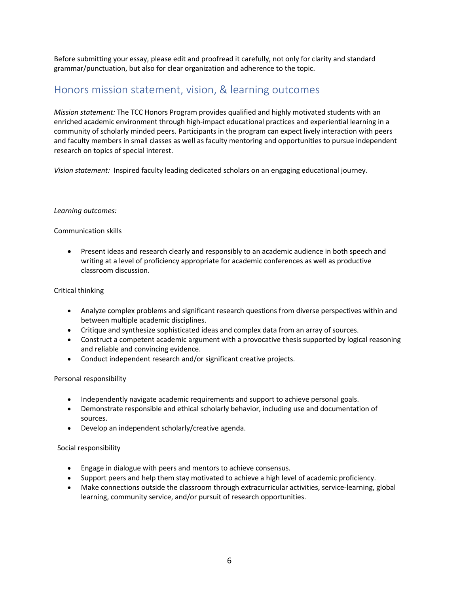Before submitting your essay, please edit and proofread it carefully, not only for clarity and standard grammar/punctuation, but also for clear organization and adherence to the topic.

### Honors mission statement, vision, & learning outcomes

*Mission statement:* The TCC Honors Program provides qualified and highly motivated students with an enriched academic environment through high-impact educational practices and experiential learning in a community of scholarly minded peers. Participants in the program can expect lively interaction with peers and faculty members in small classes as well as faculty mentoring and opportunities to pursue independent research on topics of special interest.

*Vision statement:* Inspired faculty leading dedicated scholars on an engaging educational journey.

### *Learning outcomes:*

### Communication skills

• Present ideas and research clearly and responsibly to an academic audience in both speech and writing at a level of proficiency appropriate for academic conferences as well as productive classroom discussion.

### Critical thinking

- Analyze complex problems and significant research questions from diverse perspectives within and between multiple academic disciplines.
- Critique and synthesize sophisticated ideas and complex data from an array of sources.
- Construct a competent academic argument with a provocative thesis supported by logical reasoning and reliable and convincing evidence.
- Conduct independent research and/or significant creative projects.

### Personal responsibility

- Independently navigate academic requirements and support to achieve personal goals.
- Demonstrate responsible and ethical scholarly behavior, including use and documentation of sources.
- Develop an independent scholarly/creative agenda.

### Social responsibility

- Engage in dialogue with peers and mentors to achieve consensus.
- Support peers and help them stay motivated to achieve a high level of academic proficiency.
- Make connections outside the classroom through extracurricular activities, service-learning, global learning, community service, and/or pursuit of research opportunities.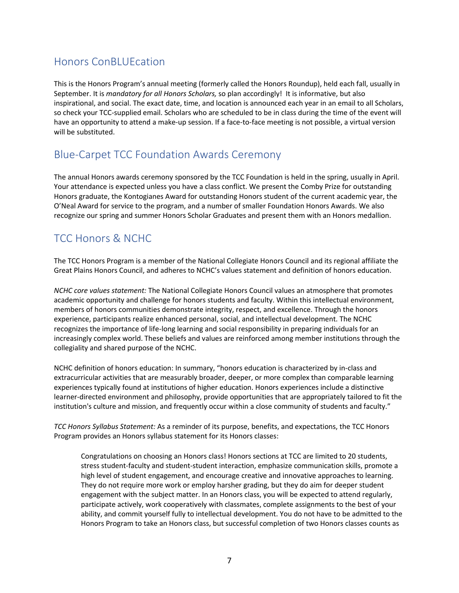## Honors ConBLUEcation

This is the Honors Program's annual meeting (formerly called the Honors Roundup), held each fall, usually in September. It is *mandatory for all Honors Scholars,* so plan accordingly! It is informative, but also inspirational, and social. The exact date, time, and location is announced each year in an email to all Scholars, so check your TCC-supplied email. Scholars who are scheduled to be in class during the time of the event will have an opportunity to attend a make-up session. If a face-to-face meeting is not possible, a virtual version will be substituted.

# Blue-Carpet TCC Foundation Awards Ceremony

The annual Honors awards ceremony sponsored by the TCC Foundation is held in the spring, usually in April. Your attendance is expected unless you have a class conflict. We present the Comby Prize for outstanding Honors graduate, the Kontogianes Award for outstanding Honors student of the current academic year, the O'Neal Award for service to the program, and a number of smaller Foundation Honors Awards. We also recognize our spring and summer Honors Scholar Graduates and present them with an Honors medallion.

# TCC Honors & NCHC

The TCC Honors Program is a member of the National Collegiate Honors Council and its regional affiliate the Great Plains Honors Council, and adheres to NCHC's values statement and definition of honors education.

*NCHC core values statement:* The National Collegiate Honors Council values an atmosphere that promotes academic opportunity and challenge for honors students and faculty. Within this intellectual environment, members of honors communities demonstrate integrity, respect, and excellence. Through the honors experience, participants realize enhanced personal, social, and intellectual development. The NCHC recognizes the importance of life-long learning and social responsibility in preparing individuals for an increasingly complex world. These beliefs and values are reinforced among member institutions through the collegiality and shared purpose of the NCHC.

NCHC definition of honors education: In summary, "honors education is characterized by in-class and extracurricular activities that are measurably broader, deeper, or more complex than comparable learning experiences typically found at institutions of higher education. Honors experiences include a distinctive learner-directed environment and philosophy, provide opportunities that are appropriately tailored to fit the institution's culture and mission, and frequently occur within a close community of students and faculty."

*TCC Honors Syllabus Statement:* As a reminder of its purpose, benefits, and expectations, the TCC Honors Program provides an Honors syllabus statement for its Honors classes:

Congratulations on choosing an Honors class! Honors sections at TCC are limited to 20 students, stress student-faculty and student-student interaction, emphasize communication skills, promote a high level of student engagement, and encourage creative and innovative approaches to learning. They do not require more work or employ harsher grading, but they do aim for deeper student engagement with the subject matter. In an Honors class, you will be expected to attend regularly, participate actively, work cooperatively with classmates, complete assignments to the best of your ability, and commit yourself fully to intellectual development. You do not have to be admitted to the Honors Program to take an Honors class, but successful completion of two Honors classes counts as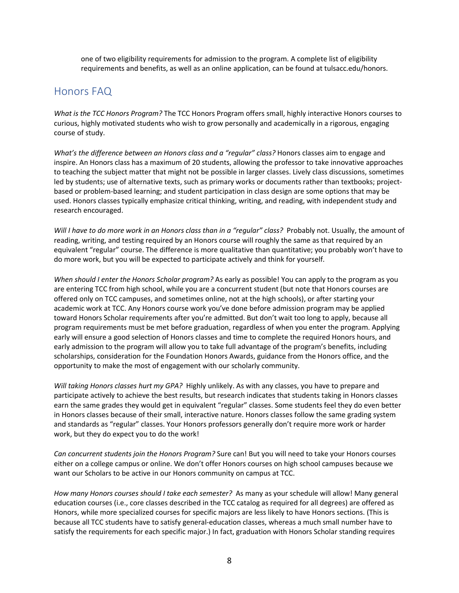one of two eligibility requirements for admission to the program. A complete list of eligibility requirements and benefits, as well as an online application, can be found at tulsacc.edu/honors.

### Honors FAQ

*What is the TCC Honors Program?* The TCC Honors Program offers small, highly interactive Honors courses to curious, highly motivated students who wish to grow personally and academically in a rigorous, engaging course of study.

*What's the difference between an Honors class and a "regular" class?* Honors classes aim to engage and inspire. An Honors class has a maximum of 20 students, allowing the professor to take innovative approaches to teaching the subject matter that might not be possible in larger classes. Lively class discussions, sometimes led by students; use of alternative texts, such as primary works or documents rather than textbooks; projectbased or problem-based learning; and student participation in class design are some options that may be used. Honors classes typically emphasize critical thinking, writing, and reading, with independent study and research encouraged.

*Will I have to do more work in an Honors class than in a "regular" class?* Probably not. Usually, the amount of reading, writing, and testing required by an Honors course will roughly the same as that required by an equivalent "regular" course. The difference is more qualitative than quantitative; you probably won't have to do more work, but you will be expected to participate actively and think for yourself.

*When should I enter the Honors Scholar program?* As early as possible! You can apply to the program as you are entering TCC from high school, while you are a concurrent student (but note that Honors courses are offered only on TCC campuses, and sometimes online, not at the high schools), or after starting your academic work at TCC. Any Honors course work you've done before admission program may be applied toward Honors Scholar requirements after you're admitted. But don't wait too long to apply, because all program requirements must be met before graduation, regardless of when you enter the program. Applying early will ensure a good selection of Honors classes and time to complete the required Honors hours, and early admission to the program will allow you to take full advantage of the program's benefits, including scholarships, consideration for the Foundation Honors Awards, guidance from the Honors office, and the opportunity to make the most of engagement with our scholarly community.

*Will taking Honors classes hurt my GPA?* Highly unlikely. As with any classes, you have to prepare and participate actively to achieve the best results, but research indicates that students taking in Honors classes earn the same grades they would get in equivalent "regular" classes. Some students feel they do even better in Honors classes because of their small, interactive nature. Honors classes follow the same grading system and standards as "regular" classes. Your Honors professors generally don't require more work or harder work, but they do expect you to do the work!

*Can concurrent students join the Honors Program?* Sure can! But you will need to take your Honors courses either on a college campus or online. We don't offer Honors courses on high school campuses because we want our Scholars to be active in our Honors community on campus at TCC.

*How many Honors courses should I take each semester?* As many as your schedule will allow! Many general education courses (i.e., core classes described in the TCC catalog as required for all degrees) are offered as Honors, while more specialized courses for specific majors are less likely to have Honors sections. (This is because all TCC students have to satisfy general-education classes, whereas a much small number have to satisfy the requirements for each specific major.) In fact, graduation with Honors Scholar standing requires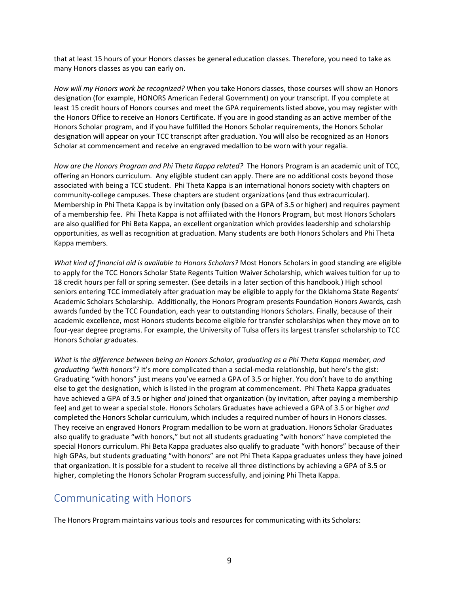that at least 15 hours of your Honors classes be general education classes. Therefore, you need to take as many Honors classes as you can early on.

*How will my Honors work be recognized?* When you take Honors classes, those courses will show an Honors designation (for example, HONORS American Federal Government) on your transcript. If you complete at least 15 credit hours of Honors courses and meet the GPA requirements listed above, you may register with the Honors Office to receive an Honors Certificate. If you are in good standing as an active member of the Honors Scholar program, and if you have fulfilled the Honors Scholar requirements, the Honors Scholar designation will appear on your TCC transcript after graduation. You will also be recognized as an Honors Scholar at commencement and receive an engraved medallion to be worn with your regalia.

*How are the Honors Program and Phi Theta Kappa related?* The Honors Program is an academic unit of TCC, offering an Honors curriculum. Any eligible student can apply. There are no additional costs beyond those associated with being a TCC student. Phi Theta Kappa is an international honors society with chapters on community-college campuses. These chapters are student organizations (and thus extracurricular). Membership in Phi Theta Kappa is by invitation only (based on a GPA of 3.5 or higher) and requires payment of a membership fee. Phi Theta Kappa is not affiliated with the Honors Program, but most Honors Scholars are also qualified for Phi Beta Kappa, an excellent organization which provides leadership and scholarship opportunities, as well as recognition at graduation. Many students are both Honors Scholars and Phi Theta Kappa members.

*What kind of financial aid is available to Honors Scholars?* Most Honors Scholars in good standing are eligible to apply for the TCC Honors Scholar State Regents Tuition Waiver Scholarship, which waives tuition for up to 18 credit hours per fall or spring semester. (See details in a later section of this handbook.) High school seniors entering TCC immediately after graduation may be eligible to apply for the Oklahoma State Regents' Academic Scholars Scholarship. Additionally, the Honors Program presents Foundation Honors Awards, cash awards funded by the TCC Foundation, each year to outstanding Honors Scholars. Finally, because of their academic excellence, most Honors students become eligible for transfer scholarships when they move on to four-year degree programs. For example, the University of Tulsa offers its largest transfer scholarship to TCC Honors Scholar graduates.

*What is the difference between being an Honors Scholar, graduating as a Phi Theta Kappa member, and graduating "with honors"?* It's more complicated than a social-media relationship, but here's the gist: Graduating "with honors" just means you've earned a GPA of 3.5 or higher. You don't have to do anything else to get the designation, which is listed in the program at commencement. Phi Theta Kappa graduates have achieved a GPA of 3.5 or higher *and* joined that organization (by invitation, after paying a membership fee) and get to wear a special stole. Honors Scholars Graduates have achieved a GPA of 3.5 or higher *and* completed the Honors Scholar curriculum, which includes a required number of hours in Honors classes. They receive an engraved Honors Program medallion to be worn at graduation. Honors Scholar Graduates also qualify to graduate "with honors," but not all students graduating "with honors" have completed the special Honors curriculum. Phi Beta Kappa graduates also qualify to graduate "with honors" because of their high GPAs, but students graduating "with honors" are not Phi Theta Kappa graduates unless they have joined that organization. It is possible for a student to receive all three distinctions by achieving a GPA of 3.5 or higher, completing the Honors Scholar Program successfully, and joining Phi Theta Kappa.

### Communicating with Honors

The Honors Program maintains various tools and resources for communicating with its Scholars: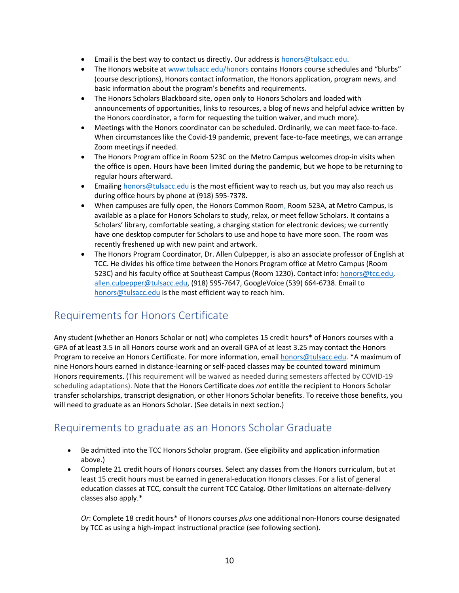- **•** Email is the best way to contact us directly. Our address i[s honors@tulsacc.edu.](mailto:honors@tulsacc.edu)
- The Honors website a[t www.tulsacc.edu/honors](http://www.tulsacc.edu/honors) contains Honors course schedules and "blurbs" (course descriptions), Honors contact information, the Honors application, program news, and basic information about the program's benefits and requirements.
- The Honors Scholars Blackboard site, open only to Honors Scholars and loaded with announcements of opportunities, links to resources, a blog of news and helpful advice written by the Honors coordinator, a form for requesting the tuition waiver, and much more).
- Meetings with the Honors coordinator can be scheduled. Ordinarily, we can meet face-to-face. When circumstances like the Covid-19 pandemic, prevent face-to-face meetings, we can arrange Zoom meetings if needed.
- The Honors Program office in Room 523C on the Metro Campus welcomes drop-in visits when the office is open. Hours have been limited during the pandemic, but we hope to be returning to regular hours afterward.
- Emailin[g honors@tulsacc.edu](mailto:honors@tulsacc.edu) is the most efficient way to reach us, but you may also reach us during office hours by phone at (918) 595-7378.
- When campuses are fully open, the Honors Common Room, Room 523A, at Metro Campus, is available as a place for Honors Scholars to study, relax, or meet fellow Scholars. It contains a Scholars' library, comfortable seating, a charging station for electronic devices; we currently have one desktop computer for Scholars to use and hope to have more soon. The room was recently freshened up with new paint and artwork.
- The Honors Program Coordinator, Dr. Allen Culpepper, is also an associate professor of English at TCC. He divides his office time between the Honors Program office at Metro Campus (Room 523C) and his faculty office at Southeast Campus (Room 1230). Contact info: [honors@tcc.edu,](mailto:honors@tcc.edu) [allen.culpepper@tulsacc.edu,](mailto:allen.culpepper@tulsacc.edu) (918) 595-7647, GoogleVoice (539) 664-6738. Email to [honors@tulsacc.edu](mailto:honors@tulsacc.edu) is the most efficient way to reach him.

### Requirements for Honors Certificate

Any student (whether an Honors Scholar or not) who completes 15 credit hours\* of Honors courses with a GPA of at least 3.5 in all Honors course work and an overall GPA of at least 3.25 may contact the Honors Program to receive an Honors Certificate. For more information, emai[l honors@tulsacc.edu.](mailto:honors@tulsacc.edu) \*A maximum of nine Honors hours earned in distance-learning or self-paced classes may be counted toward minimum Honors requirements. (This requirement will be waived as needed during semesters affected by COVID-19 scheduling adaptations). Note that the Honors Certificate does *not* entitle the recipient to Honors Scholar transfer scholarships, transcript designation, or other Honors Scholar benefits. To receive those benefits, you will need to graduate as an Honors Scholar. (See details in next section.)

### Requirements to graduate as an Honors Scholar Graduate

- Be admitted into the TCC Honors Scholar program. (See eligibility and application information above.)
- Complete 21 credit hours of Honors courses. Select any classes from the Honors curriculum, but at least 15 credit hours must be earned in general-education Honors classes. For a list of general education classes at TCC, consult the current TCC Catalog. Other limitations on alternate-delivery classes also apply.\*

*Or*: Complete 18 credit hours\* of Honors courses *plus* one additional non-Honors course designated by TCC as using a high-impact instructional practice (see following section).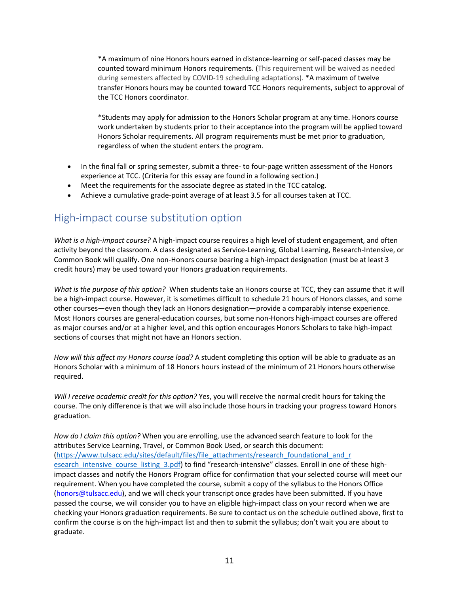\*A maximum of nine Honors hours earned in distance-learning or self-paced classes may be counted toward minimum Honors requirements. (This requirement will be waived as needed during semesters affected by COVID-19 scheduling adaptations). \*A maximum of twelve transfer Honors hours may be counted toward TCC Honors requirements, subject to approval of the TCC Honors coordinator.

\*Students may apply for admission to the Honors Scholar program at any time. Honors course work undertaken by students prior to their acceptance into the program will be applied toward Honors Scholar requirements. All program requirements must be met prior to graduation, regardless of when the student enters the program.

- In the final fall or spring semester, submit a three- to four-page written assessment of the Honors experience at TCC. (Criteria for this essay are found in a following section.)
- Meet the requirements for the associate degree as stated in the TCC catalog.
- Achieve a cumulative grade-point average of at least 3.5 for all courses taken at TCC.

# High-impact course substitution option

*What is a high-impact course?* A high-impact course requires a high level of student engagement, and often activity beyond the classroom. A class designated as Service-Learning, Global Learning, Research-Intensive, or Common Book will qualify. One non-Honors course bearing a high-impact designation (must be at least 3 credit hours) may be used toward your Honors graduation requirements.

*What is the purpose of this option?* When students take an Honors course at TCC, they can assume that it will be a high-impact course. However, it is sometimes difficult to schedule 21 hours of Honors classes, and some other courses—even though they lack an Honors designation—provide a comparably intense experience. Most Honors courses are general-education courses, but some non-Honors high-impact courses are offered as major courses and/or at a higher level, and this option encourages Honors Scholars to take high-impact sections of courses that might not have an Honors section.

*How will this affect my Honors course load?* A student completing this option will be able to graduate as an Honors Scholar with a minimum of 18 Honors hours instead of the minimum of 21 Honors hours otherwise required.

*Will I receive academic credit for this option?* Yes, you will receive the normal credit hours for taking the course. The only difference is that we will also include those hours in tracking your progress toward Honors graduation.

*How do I claim this option?* When you are enrolling, use the advanced search feature to look for the attributes Service Learning, Travel, or Common Book Used, or search this document: [\(https://www.tulsacc.edu/sites/default/files/file\\_attachments/research\\_foundational\\_and\\_r](https://www.tulsacc.edu/sites/default/files/file_attachments/research_foundational_and_r%20esearch_intensive_course_listing_3.pdf)  esearch intensive course listing 3.pdf) to find "research-intensive" classes. Enroll in one of these highimpact classes and notify the Honors Program office for confirmation that your selected course will meet our requirement. When you have completed the course, submit a copy of the syllabus to the Honors Office (honors@tulsacc.edu), and we will check your transcript once grades have been submitted. If you have passed the course, we will consider you to have an eligible high-impact class on your record when we are checking your Honors graduation requirements. Be sure to contact us on the schedule outlined above, first to confirm the course is on the high-impact list and then to submit the syllabus; don't wait you are about to graduate.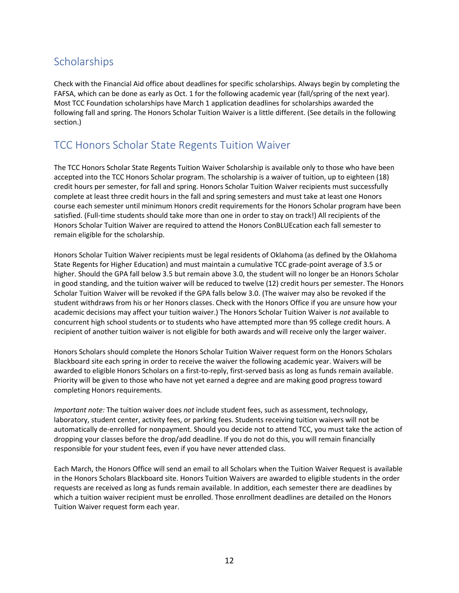# **Scholarships**

Check with the Financial Aid office about deadlines for specific scholarships. Always begin by completing the FAFSA, which can be done as early as Oct. 1 for the following academic year (fall/spring of the next year). Most TCC Foundation scholarships have March 1 application deadlines for scholarships awarded the following fall and spring. The Honors Scholar Tuition Waiver is a little different. (See details in the following section.)

### TCC Honors Scholar State Regents Tuition Waiver

The TCC Honors Scholar State Regents Tuition Waiver Scholarship is available only to those who have been accepted into the TCC Honors Scholar program. The scholarship is a waiver of tuition, up to eighteen (18) credit hours per semester, for fall and spring. Honors Scholar Tuition Waiver recipients must successfully complete at least three credit hours in the fall and spring semesters and must take at least one Honors course each semester until minimum Honors credit requirements for the Honors Scholar program have been satisfied. (Full-time students should take more than one in order to stay on track!) All recipients of the Honors Scholar Tuition Waiver are required to attend the Honors ConBLUEcation each fall semester to remain eligible for the scholarship.

Honors Scholar Tuition Waiver recipients must be legal residents of Oklahoma (as defined by the Oklahoma State Regents for Higher Education) and must maintain a cumulative TCC grade-point average of 3.5 or higher. Should the GPA fall below 3.5 but remain above 3.0, the student will no longer be an Honors Scholar in good standing, and the tuition waiver will be reduced to twelve (12) credit hours per semester. The Honors Scholar Tuition Waiver will be revoked if the GPA falls below 3.0. (The waiver may also be revoked if the student withdraws from his or her Honors classes. Check with the Honors Office if you are unsure how your academic decisions may affect your tuition waiver.) The Honors Scholar Tuition Waiver is *not* available to concurrent high school students or to students who have attempted more than 95 college credit hours. A recipient of another tuition waiver is not eligible for both awards and will receive only the larger waiver.

Honors Scholars should complete the Honors Scholar Tuition Waiver request form on the Honors Scholars Blackboard site each spring in order to receive the waiver the following academic year. Waivers will be awarded to eligible Honors Scholars on a first-to-reply, first-served basis as long as funds remain available. Priority will be given to those who have not yet earned a degree and are making good progress toward completing Honors requirements.

*Important note:* The tuition waiver does *not* include student fees, such as assessment, technology, laboratory, student center, activity fees, or parking fees. Students receiving tuition waivers will not be automatically de-enrolled for nonpayment. Should you decide not to attend TCC, you must take the action of dropping your classes before the drop/add deadline. If you do not do this, you will remain financially responsible for your student fees, even if you have never attended class.

Each March, the Honors Office will send an email to all Scholars when the Tuition Waiver Request is available in the Honors Scholars Blackboard site. Honors Tuition Waivers are awarded to eligible students in the order requests are received as long as funds remain available. In addition, each semester there are deadlines by which a tuition waiver recipient must be enrolled. Those enrollment deadlines are detailed on the Honors Tuition Waiver request form each year.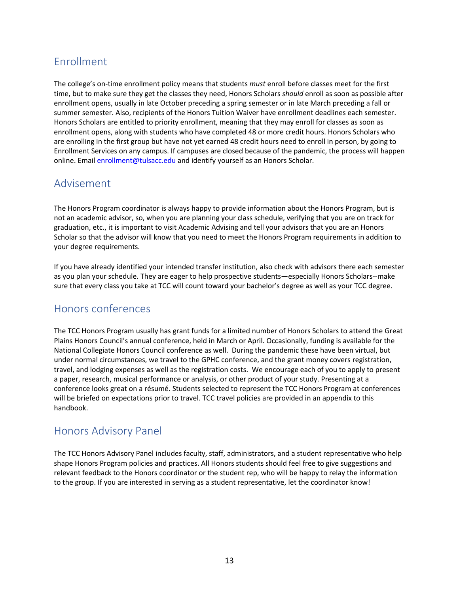# Enrollment

The college's on-time enrollment policy means that students *must* enroll before classes meet for the first time, but to make sure they get the classes they need, Honors Scholars *should* enroll as soon as possible after enrollment opens, usually in late October preceding a spring semester or in late March preceding a fall or summer semester. Also, recipients of the Honors Tuition Waiver have enrollment deadlines each semester. Honors Scholars are entitled to priority enrollment, meaning that they may enroll for classes as soon as enrollment opens, along with students who have completed 48 or more credit hours. Honors Scholars who are enrolling in the first group but have not yet earned 48 credit hours need to enroll in person, by going to Enrollment Services on any campus. If campuses are closed because of the pandemic, the process will happen online. Email enrollment@tulsacc.edu and identify yourself as an Honors Scholar.

### Advisement

The Honors Program coordinator is always happy to provide information about the Honors Program, but is not an academic advisor, so, when you are planning your class schedule, verifying that you are on track for graduation, etc., it is important to visit Academic Advising and tell your advisors that you are an Honors Scholar so that the advisor will know that you need to meet the Honors Program requirements in addition to your degree requirements.

If you have already identified your intended transfer institution, also check with advisors there each semester as you plan your schedule. They are eager to help prospective students—especially Honors Scholars--make sure that every class you take at TCC will count toward your bachelor's degree as well as your TCC degree.

### Honors conferences

The TCC Honors Program usually has grant funds for a limited number of Honors Scholars to attend the Great Plains Honors Council's annual conference, held in March or April. Occasionally, funding is available for the National Collegiate Honors Council conference as well. During the pandemic these have been virtual, but under normal circumstances, we travel to the GPHC conference, and the grant money covers registration, travel, and lodging expenses as well as the registration costs. We encourage each of you to apply to present a paper, research, musical performance or analysis, or other product of your study. Presenting at a conference looks great on a résumé. Students selected to represent the TCC Honors Program at conferences will be briefed on expectations prior to travel. TCC travel policies are provided in an appendix to this handbook.

### Honors Advisory Panel

The TCC Honors Advisory Panel includes faculty, staff, administrators, and a student representative who help shape Honors Program policies and practices. All Honors students should feel free to give suggestions and relevant feedback to the Honors coordinator or the student rep, who will be happy to relay the information to the group. If you are interested in serving as a student representative, let the coordinator know!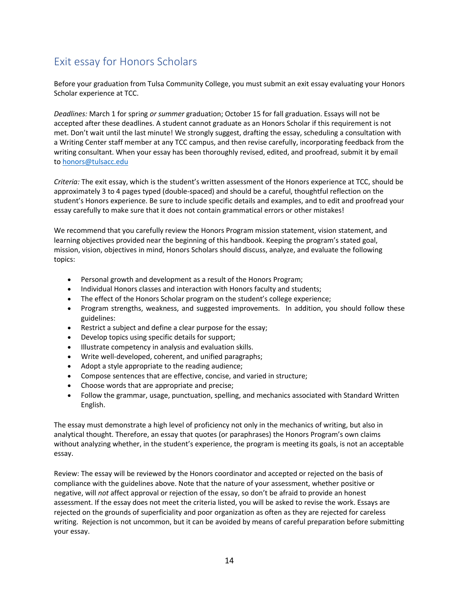# Exit essay for Honors Scholars

Before your graduation from Tulsa Community College, you must submit an exit essay evaluating your Honors Scholar experience at TCC.

*Deadlines:* March 1 for spring *or summer* graduation; October 15 for fall graduation. Essays will not be accepted after these deadlines. A student cannot graduate as an Honors Scholar if this requirement is not met. Don't wait until the last minute! We strongly suggest, drafting the essay, scheduling a consultation with a Writing Center staff member at any TCC campus, and then revise carefully, incorporating feedback from the writing consultant. When your essay has been thoroughly revised, edited, and proofread, submit it by email t[o honors@tulsacc.edu](mailto:honors@tulsacc.edu)

*Criteria:* The exit essay, which is the student's written assessment of the Honors experience at TCC, should be approximately 3 to 4 pages typed (double-spaced) and should be a careful, thoughtful reflection on the student's Honors experience. Be sure to include specific details and examples, and to edit and proofread your essay carefully to make sure that it does not contain grammatical errors or other mistakes!

We recommend that you carefully review the Honors Program mission statement, vision statement, and learning objectives provided near the beginning of this handbook. Keeping the program's stated goal, mission, vision, objectives in mind, Honors Scholars should discuss, analyze, and evaluate the following topics:

- Personal growth and development as a result of the Honors Program;
- Individual Honors classes and interaction with Honors faculty and students;
- The effect of the Honors Scholar program on the student's college experience;
- Program strengths, weakness, and suggested improvements. In addition, you should follow these guidelines:
- Restrict a subject and define a clear purpose for the essay;
- Develop topics using specific details for support;
- Illustrate competency in analysis and evaluation skills.
- Write well-developed, coherent, and unified paragraphs;
- Adopt a style appropriate to the reading audience;
- Compose sentences that are effective, concise, and varied in structure;
- Choose words that are appropriate and precise;
- Follow the grammar, usage, punctuation, spelling, and mechanics associated with Standard Written English.

The essay must demonstrate a high level of proficiency not only in the mechanics of writing, but also in analytical thought. Therefore, an essay that quotes (or paraphrases) the Honors Program's own claims without analyzing whether, in the student's experience, the program is meeting its goals, is not an acceptable essay.

Review: The essay will be reviewed by the Honors coordinator and accepted or rejected on the basis of compliance with the guidelines above. Note that the nature of your assessment, whether positive or negative, will *not* affect approval or rejection of the essay, so don't be afraid to provide an honest assessment. If the essay does not meet the criteria listed, you will be asked to revise the work. Essays are rejected on the grounds of superficiality and poor organization as often as they are rejected for careless writing. Rejection is not uncommon, but it can be avoided by means of careful preparation before submitting your essay.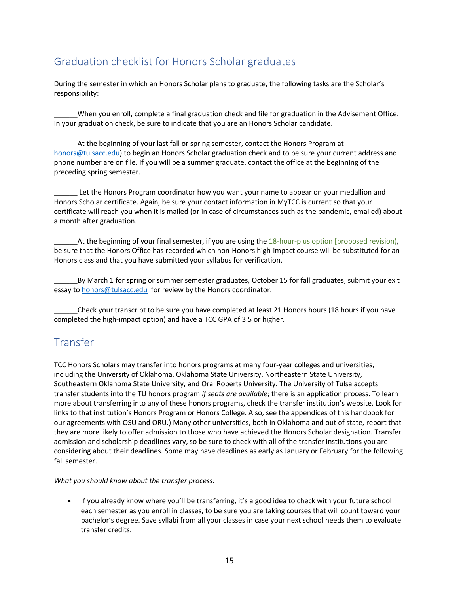# Graduation checklist for Honors Scholar graduates

During the semester in which an Honors Scholar plans to graduate, the following tasks are the Scholar's responsibility:

\_\_\_\_\_\_When you enroll, complete a final graduation check and file for graduation in the Advisement Office. In your graduation check, be sure to indicate that you are an Honors Scholar candidate.

At the beginning of your last fall or spring semester, contact the Honors Program at [honors@tulsacc.edu\)](mailto:honors@tulsacc.edu) to begin an Honors Scholar graduation check and to be sure your current address and phone number are on file. If you will be a summer graduate, contact the office at the beginning of the preceding spring semester.

Let the Honors Program coordinator how you want your name to appear on your medallion and Honors Scholar certificate. Again, be sure your contact information in MyTCC is current so that your certificate will reach you when it is mailed (or in case of circumstances such as the pandemic, emailed) about a month after graduation.

At the beginning of your final semester, if you are using the 18-hour-plus option [proposed revision], be sure that the Honors Office has recorded which non-Honors high-impact course will be substituted for an Honors class and that you have submitted your syllabus for verification.

By March 1 for spring or summer semester graduates, October 15 for fall graduates, submit your exit essay to [honors@tulsacc.edu](mailto:honors@tulsacc.edu) for review by the Honors coordinator.

\_\_\_\_\_\_Check your transcript to be sure you have completed at least 21 Honors hours (18 hours if you have completed the high-impact option) and have a TCC GPA of 3.5 or higher.

### Transfer

TCC Honors Scholars may transfer into honors programs at many four-year colleges and universities, including the University of Oklahoma, Oklahoma State University, Northeastern State University, Southeastern Oklahoma State University, and Oral Roberts University. The University of Tulsa accepts transfer students into the TU honors program *if seats are available*; there is an application process. To learn more about transferring into any of these honors programs, check the transfer institution's website. Look for links to that institution's Honors Program or Honors College. Also, see the appendices of this handbook for our agreements with OSU and ORU.) Many other universities, both in Oklahoma and out of state, report that they are more likely to offer admission to those who have achieved the Honors Scholar designation. Transfer admission and scholarship deadlines vary, so be sure to check with all of the transfer institutions you are considering about their deadlines. Some may have deadlines as early as January or February for the following fall semester.

*What you should know about the transfer process:*

• If you already know where you'll be transferring, it's a good idea to check with your future school each semester as you enroll in classes, to be sure you are taking courses that will count toward your bachelor's degree. Save syllabi from all your classes in case your next school needs them to evaluate transfer credits.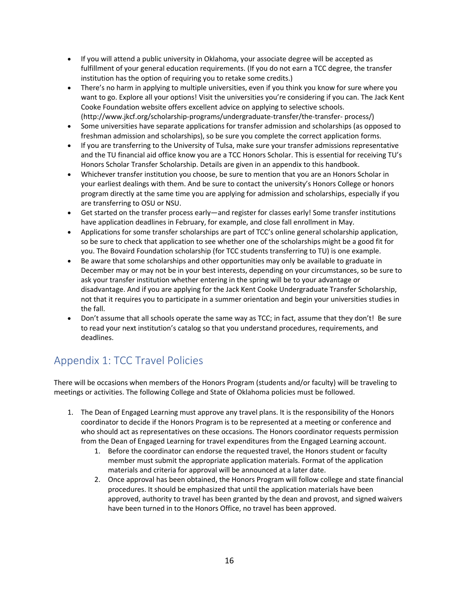- If you will attend a public university in Oklahoma, your associate degree will be accepted as fulfillment of your general education requirements. (If you do not earn a TCC degree, the transfer institution has the option of requiring you to retake some credits.)
- There's no harm in applying to multiple universities, even if you think you know for sure where you want to go. Explore all your options! Visit the universities you're considering if you can. The Jack Kent Cooke Foundation website offers excellent advice on applying to selective schools. (http://www.jkcf.org/scholarship-programs/undergraduate-transfer/the-transfer- process/)
- Some universities have separate applications for transfer admission and scholarships (as opposed to freshman admission and scholarships), so be sure you complete the correct application forms.
- If you are transferring to the University of Tulsa, make sure your transfer admissions representative and the TU financial aid office know you are a TCC Honors Scholar. This is essential for receiving TU's Honors Scholar Transfer Scholarship. Details are given in an appendix to this handbook.
- Whichever transfer institution you choose, be sure to mention that you are an Honors Scholar in your earliest dealings with them. And be sure to contact the university's Honors College or honors program directly at the same time you are applying for admission and scholarships, especially if you are transferring to OSU or NSU.
- Get started on the transfer process early—and register for classes early! Some transfer institutions have application deadlines in February, for example, and close fall enrollment in May.
- Applications for some transfer scholarships are part of TCC's online general scholarship application, so be sure to check that application to see whether one of the scholarships might be a good fit for you. The Bovaird Foundation scholarship (for TCC students transferring to TU) is one example.
- Be aware that some scholarships and other opportunities may only be available to graduate in December may or may not be in your best interests, depending on your circumstances, so be sure to ask your transfer institution whether entering in the spring will be to your advantage or disadvantage. And if you are applying for the Jack Kent Cooke Undergraduate Transfer Scholarship, not that it requires you to participate in a summer orientation and begin your universities studies in the fall.
- Don't assume that all schools operate the same way as TCC; in fact, assume that they don't! Be sure to read your next institution's catalog so that you understand procedures, requirements, and deadlines.

# Appendix 1: TCC Travel Policies

There will be occasions when members of the Honors Program (students and/or faculty) will be traveling to meetings or activities. The following College and State of Oklahoma policies must be followed.

- 1. The Dean of Engaged Learning must approve any travel plans. It is the responsibility of the Honors coordinator to decide if the Honors Program is to be represented at a meeting or conference and who should act as representatives on these occasions. The Honors coordinator requests permission from the Dean of Engaged Learning for travel expenditures from the Engaged Learning account.
	- 1. Before the coordinator can endorse the requested travel, the Honors student or faculty member must submit the appropriate application materials. Format of the application materials and criteria for approval will be announced at a later date.
	- 2. Once approval has been obtained, the Honors Program will follow college and state financial procedures. It should be emphasized that until the application materials have been approved, authority to travel has been granted by the dean and provost, and signed waivers have been turned in to the Honors Office, no travel has been approved.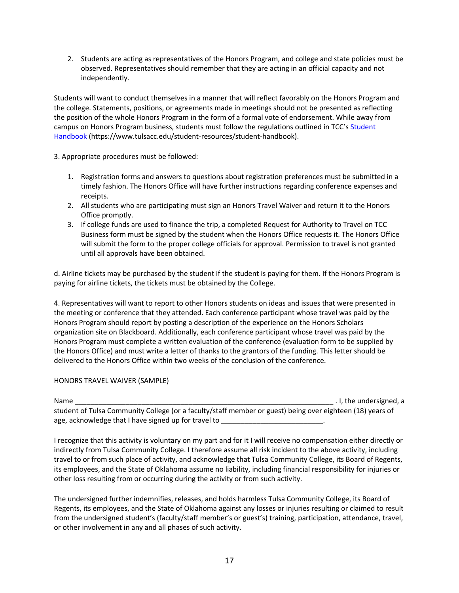2. Students are acting as representatives of the Honors Program, and college and state policies must be observed. Representatives should remember that they are acting in an official capacity and not independently.

Students will want to conduct themselves in a manner that will reflect favorably on the Honors Program and the college. Statements, positions, or agreements made in meetings should not be presented as reflecting the position of the whole Honors Program in the form of a formal vote of endorsement. While away from campus on Honors Program business, students must follow the regulations outlined in TCC's Student Handbook (https://www.tulsacc.edu/student-resources/student-handbook).

3. Appropriate procedures must be followed:

- 1. Registration forms and answers to questions about registration preferences must be submitted in a timely fashion. The Honors Office will have further instructions regarding conference expenses and receipts.
- 2. All students who are participating must sign an Honors Travel Waiver and return it to the Honors Office promptly.
- 3. If college funds are used to finance the trip, a completed Request for Authority to Travel on TCC Business form must be signed by the student when the Honors Office requests it. The Honors Office will submit the form to the proper college officials for approval. Permission to travel is not granted until all approvals have been obtained.

d. Airline tickets may be purchased by the student if the student is paying for them. If the Honors Program is paying for airline tickets, the tickets must be obtained by the College.

4. Representatives will want to report to other Honors students on ideas and issues that were presented in the meeting or conference that they attended. Each conference participant whose travel was paid by the Honors Program should report by posting a description of the experience on the Honors Scholars organization site on Blackboard. Additionally, each conference participant whose travel was paid by the Honors Program must complete a written evaluation of the conference (evaluation form to be supplied by the Honors Office) and must write a letter of thanks to the grantors of the funding. This letter should be delivered to the Honors Office within two weeks of the conclusion of the conference.

### HONORS TRAVEL WAIVER (SAMPLE)

| Name                                                                                                      | I, the undersigned, a |
|-----------------------------------------------------------------------------------------------------------|-----------------------|
| student of Tulsa Community College (or a faculty/staff member or guest) being over eighteen (18) years of |                       |
| age, acknowledge that I have signed up for travel to                                                      |                       |

I recognize that this activity is voluntary on my part and for it I will receive no compensation either directly or indirectly from Tulsa Community College. I therefore assume all risk incident to the above activity, including travel to or from such place of activity, and acknowledge that Tulsa Community College, its Board of Regents, its employees, and the State of Oklahoma assume no liability, including financial responsibility for injuries or other loss resulting from or occurring during the activity or from such activity.

The undersigned further indemnifies, releases, and holds harmless Tulsa Community College, its Board of Regents, its employees, and the State of Oklahoma against any losses or injuries resulting or claimed to result from the undersigned student's (faculty/staff member's or guest's) training, participation, attendance, travel, or other involvement in any and all phases of such activity.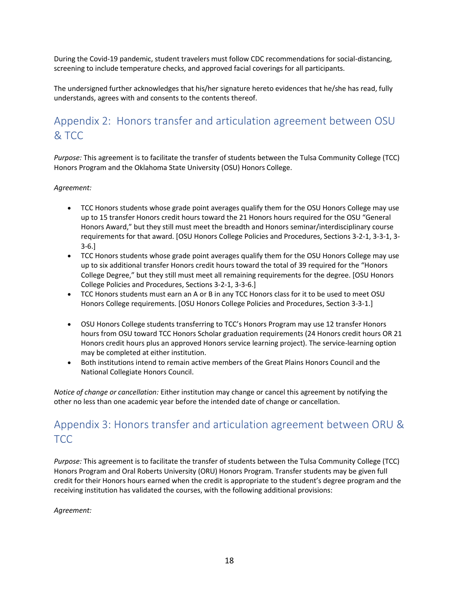During the Covid-19 pandemic, student travelers must follow CDC recommendations for social-distancing, screening to include temperature checks, and approved facial coverings for all participants.

The undersigned further acknowledges that his/her signature hereto evidences that he/she has read, fully understands, agrees with and consents to the contents thereof.

# Appendix 2: Honors transfer and articulation agreement between OSU & TCC

*Purpose:* This agreement is to facilitate the transfer of students between the Tulsa Community College (TCC) Honors Program and the Oklahoma State University (OSU) Honors College.

### *Agreement:*

- TCC Honors students whose grade point averages qualify them for the OSU Honors College may use up to 15 transfer Honors credit hours toward the 21 Honors hours required for the OSU "General Honors Award," but they still must meet the breadth and Honors seminar/interdisciplinary course requirements for that award. [OSU Honors College Policies and Procedures, Sections 3-2-1, 3-3-1, 3- 3-6.]
- TCC Honors students whose grade point averages qualify them for the OSU Honors College may use up to six additional transfer Honors credit hours toward the total of 39 required for the "Honors College Degree," but they still must meet all remaining requirements for the degree. [OSU Honors College Policies and Procedures, Sections 3-2-1, 3-3-6.]
- TCC Honors students must earn an A or B in any TCC Honors class for it to be used to meet OSU Honors College requirements. [OSU Honors College Policies and Procedures, Section 3-3-1.]
- OSU Honors College students transferring to TCC's Honors Program may use 12 transfer Honors hours from OSU toward TCC Honors Scholar graduation requirements (24 Honors credit hours OR 21 Honors credit hours plus an approved Honors service learning project). The service-learning option may be completed at either institution.
- Both institutions intend to remain active members of the Great Plains Honors Council and the National Collegiate Honors Council.

*Notice of change or cancellation:* Either institution may change or cancel this agreement by notifying the other no less than one academic year before the intended date of change or cancellation.

# Appendix 3: Honors transfer and articulation agreement between ORU & TCC

*Purpose:* This agreement is to facilitate the transfer of students between the Tulsa Community College (TCC) Honors Program and Oral Roberts University (ORU) Honors Program. Transfer students may be given full credit for their Honors hours earned when the credit is appropriate to the student's degree program and the receiving institution has validated the courses, with the following additional provisions:

*Agreement:*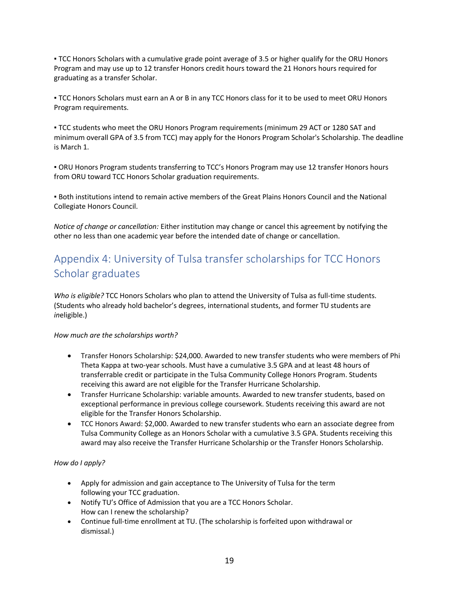▪ TCC Honors Scholars with a cumulative grade point average of 3.5 or higher qualify for the ORU Honors Program and may use up to 12 transfer Honors credit hours toward the 21 Honors hours required for graduating as a transfer Scholar.

▪ TCC Honors Scholars must earn an A or B in any TCC Honors class for it to be used to meet ORU Honors Program requirements.

▪ TCC students who meet the ORU Honors Program requirements (minimum 29 ACT or 1280 SAT and minimum overall GPA of 3.5 from TCC) may apply for the Honors Program Scholar's Scholarship. The deadline is March 1.

▪ ORU Honors Program students transferring to TCC's Honors Program may use 12 transfer Honors hours from ORU toward TCC Honors Scholar graduation requirements.

▪ Both institutions intend to remain active members of the Great Plains Honors Council and the National Collegiate Honors Council.

*Notice of change or cancellation:* Either institution may change or cancel this agreement by notifying the other no less than one academic year before the intended date of change or cancellation.

# Appendix 4: University of Tulsa transfer scholarships for TCC Honors Scholar graduates

*Who is eligible?* TCC Honors Scholars who plan to attend the University of Tulsa as full-time students. (Students who already hold bachelor's degrees, international students, and former TU students are *in*eligible.)

*How much are the scholarships worth?* 

- Transfer Honors Scholarship: \$24,000. Awarded to new transfer students who were members of Phi Theta Kappa at two-year schools. Must have a cumulative 3.5 GPA and at least 48 hours of transferrable credit or participate in the Tulsa Community College Honors Program. Students receiving this award are not eligible for the Transfer Hurricane Scholarship.
- Transfer Hurricane Scholarship: variable amounts. Awarded to new transfer students, based on exceptional performance in previous college coursework. Students receiving this award are not eligible for the Transfer Honors Scholarship.
- TCC Honors Award: \$2,000. Awarded to new transfer students who earn an associate degree from Tulsa Community College as an Honors Scholar with a cumulative 3.5 GPA. Students receiving this award may also receive the Transfer Hurricane Scholarship or the Transfer Honors Scholarship.

### *How do I apply?*

- Apply for admission and gain acceptance to The University of Tulsa for the term following your TCC graduation.
- Notify TU's Office of Admission that you are a TCC Honors Scholar. How can I renew the scholarship?
- Continue full-time enrollment at TU. (The scholarship is forfeited upon withdrawal or dismissal.)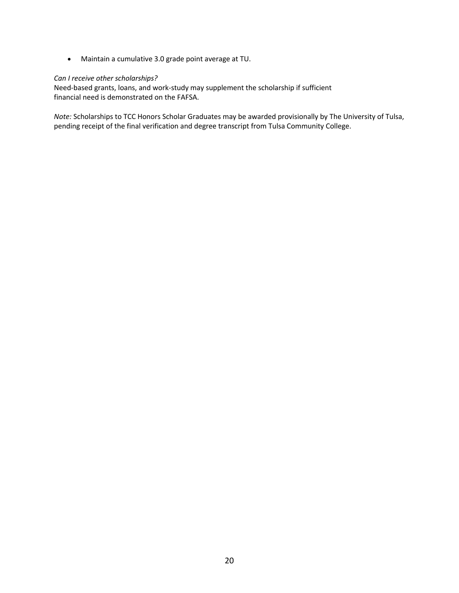• Maintain a cumulative 3.0 grade point average at TU.

### *Can I receive other scholarships?*

Need-based grants, loans, and work-study may supplement the scholarship if sufficient financial need is demonstrated on the FAFSA.

*Note:* Scholarships to TCC Honors Scholar Graduates may be awarded provisionally by The University of Tulsa, pending receipt of the final verification and degree transcript from Tulsa Community College.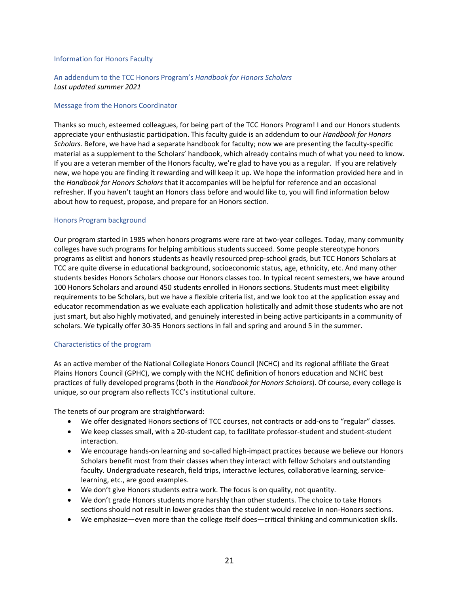#### Information for Honors Faculty

### An addendum to the TCC Honors Program's *Handbook for Honors Scholars Last updated summer 2021*

#### Message from the Honors Coordinator

Thanks so much, esteemed colleagues, for being part of the TCC Honors Program! I and our Honors students appreciate your enthusiastic participation. This faculty guide is an addendum to our *Handbook for Honors Scholars*. Before, we have had a separate handbook for faculty; now we are presenting the faculty-specific material as a supplement to the Scholars' handbook, which already contains much of what you need to know. If you are a veteran member of the Honors faculty, we're glad to have you as a regular. If you are relatively new, we hope you are finding it rewarding and will keep it up. We hope the information provided here and in the *Handbook for Honors Scholars* that it accompanies will be helpful for reference and an occasional refresher. If you haven't taught an Honors class before and would like to, you will find information below about how to request, propose, and prepare for an Honors section.

#### Honors Program background

Our program started in 1985 when honors programs were rare at two-year colleges. Today, many community colleges have such programs for helping ambitious students succeed. Some people stereotype honors programs as elitist and honors students as heavily resourced prep-school grads, but TCC Honors Scholars at TCC are quite diverse in educational background, socioeconomic status, age, ethnicity, etc. And many other students besides Honors Scholars choose our Honors classes too. In typical recent semesters, we have around 100 Honors Scholars and around 450 students enrolled in Honors sections. Students must meet eligibility requirements to be Scholars, but we have a flexible criteria list, and we look too at the application essay and educator recommendation as we evaluate each application holistically and admit those students who are not just smart, but also highly motivated, and genuinely interested in being active participants in a community of scholars. We typically offer 30-35 Honors sections in fall and spring and around 5 in the summer.

### Characteristics of the program

As an active member of the National Collegiate Honors Council (NCHC) and its regional affiliate the Great Plains Honors Council (GPHC), we comply with the NCHC definition of honors education and NCHC best practices of fully developed programs (both in the *Handbook for Honors Scholars*). Of course, every college is unique, so our program also reflects TCC's institutional culture.

The tenets of our program are straightforward:

- We offer designated Honors sections of TCC courses, not contracts or add-ons to "regular" classes.
- We keep classes small, with a 20-student cap, to facilitate professor-student and student-student interaction.
- We encourage hands-on learning and so-called high-impact practices because we believe our Honors Scholars benefit most from their classes when they interact with fellow Scholars and outstanding faculty. Undergraduate research, field trips, interactive lectures, collaborative learning, servicelearning, etc., are good examples.
- We don't give Honors students extra work. The focus is on quality, not quantity.
- We don't grade Honors students more harshly than other students. The choice to take Honors sections should not result in lower grades than the student would receive in non-Honors sections.
- We emphasize—even more than the college itself does—critical thinking and communication skills.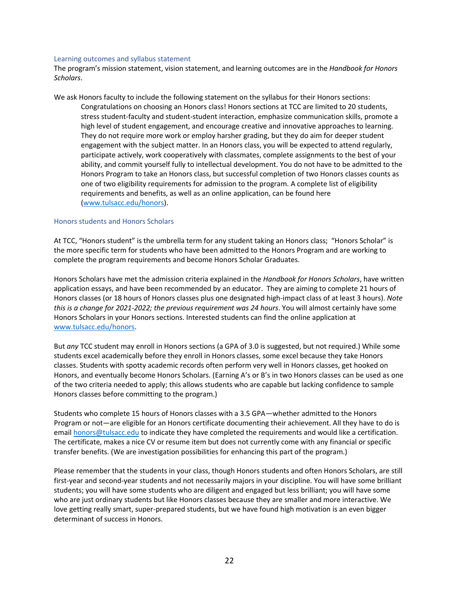#### Learning outcomes and syllabus statement

The program's mission statement, vision statement, and learning outcomes are in the *Handbook for Honors Scholars*.

We ask Honors faculty to include the following statement on the syllabus for their Honors sections: Congratulations on choosing an Honors class! Honors sections at TCC are limited to 20 students, stress student-faculty and student-student interaction, emphasize communication skills, promote a high level of student engagement, and encourage creative and innovative approaches to learning. They do not require more work or employ harsher grading, but they do aim for deeper student engagement with the subject matter. In an Honors class, you will be expected to attend regularly, participate actively, work cooperatively with classmates, complete assignments to the best of your ability, and commit yourself fully to intellectual development. You do not have to be admitted to the Honors Program to take an Honors class, but successful completion of two Honors classes counts as one of two eligibility requirements for admission to the program. A complete list of eligibility requirements and benefits, as well as an online application, can be found here [\(www.tulsacc.edu/honors\)](http://www.tulsacc.edu/honors).

#### Honors students and Honors Scholars

At TCC, "Honors student" is the umbrella term for any student taking an Honors class; "Honors Scholar" is the more specific term for students who have been admitted to the Honors Program and are working to complete the program requirements and become Honors Scholar Graduates.

Honors Scholars have met the admission criteria explained in the *Handbook for Honors Scholars*, have written application essays, and have been recommended by an educator. They are aiming to complete 21 hours of Honors classes (or 18 hours of Honors classes plus one designated high-impact class of at least 3 hours). *Note this is a change for 2021-2022; the previous requirement was 24 hours*. You will almost certainly have some Honors Scholars in your Honors sections. Interested students can find the online application at [www.tulsacc.edu/honors.](http://www.tulsacc.edu/honors)

But *any* TCC student may enroll in Honors sections (a GPA of 3.0 is suggested, but not required.) While some students excel academically before they enroll in Honors classes, some excel because they take Honors classes. Students with spotty academic records often perform very well in Honors classes, get hooked on Honors, and eventually become Honors Scholars. (Earning A's or B's in two Honors classes can be used as one of the two criteria needed to apply; this allows students who are capable but lacking confidence to sample Honors classes before committing to the program.)

Students who complete 15 hours of Honors classes with a 3.5 GPA—whether admitted to the Honors Program or not—are eligible for an Honors certificate documenting their achievement. All they have to do is email [honors@tulsacc.edu](mailto:honors@tulsacc.edu) to indicate they have completed the requirements and would like a certification. The certificate, makes a nice CV or resume item but does not currently come with any financial or specific transfer benefits. (We are investigation possibilities for enhancing this part of the program.)

Please remember that the students in your class, though Honors students and often Honors Scholars, are still first-year and second-year students and not necessarily majors in your discipline. You will have some brilliant students; you will have some students who are diligent and engaged but less brilliant; you will have some who are just ordinary students but like Honors classes because they are smaller and more interactive. We love getting really smart, super-prepared students, but we have found high motivation is an even bigger determinant of success in Honors.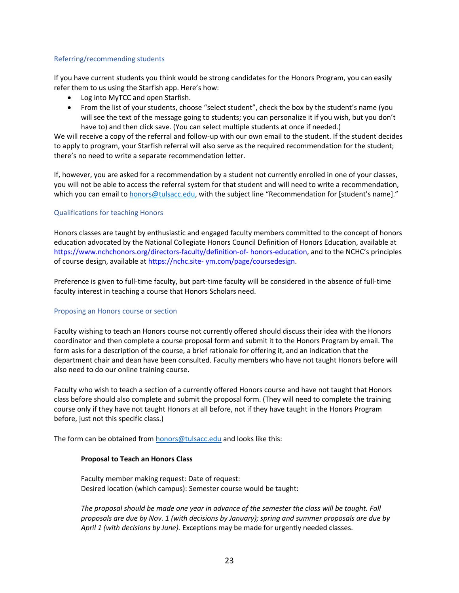### Referring/recommending students

If you have current students you think would be strong candidates for the Honors Program, you can easily refer them to us using the Starfish app. Here's how:

- Log into MyTCC and open Starfish.
- From the list of your students, choose "select student", check the box by the student's name (you will see the text of the message going to students; you can personalize it if you wish, but you don't have to) and then click save. (You can select multiple students at once if needed.)

We will receive a copy of the referral and follow-up with our own email to the student. If the student decides to apply to program, your Starfish referral will also serve as the required recommendation for the student; there's no need to write a separate recommendation letter.

If, however, you are asked for a recommendation by a student not currently enrolled in one of your classes, you will not be able to access the referral system for that student and will need to write a recommendation, which you can email t[o honors@tulsacc.edu](mailto:honors@tulsacc.edu), with the subject line "Recommendation for [student's name]."

### Qualifications for teaching Honors

Honors classes are taught by enthusiastic and engaged faculty members committed to the concept of honors education advocated by the National Collegiate Honors Council Definition of Honors Education, available at https://www.nchchonors.org/directors-faculty/definition-of- honors-education, and to the NCHC's principles of course design, available at https://nchc.site- ym.com/page/coursedesign.

Preference is given to full-time faculty, but part-time faculty will be considered in the absence of full-time faculty interest in teaching a course that Honors Scholars need.

### Proposing an Honors course or section

Faculty wishing to teach an Honors course not currently offered should discuss their idea with the Honors coordinator and then complete a course proposal form and submit it to the Honors Program by email. The form asks for a description of the course, a brief rationale for offering it, and an indication that the department chair and dean have been consulted. Faculty members who have not taught Honors before will also need to do our online training course.

Faculty who wish to teach a section of a currently offered Honors course and have not taught that Honors class before should also complete and submit the proposal form. (They will need to complete the training course only if they have not taught Honors at all before, not if they have taught in the Honors Program before, just not this specific class.)

The form can be obtained fro[m honors@tulsacc.edu](mailto:honors@tulsacc.edu) and looks like this:

### **Proposal to Teach an Honors Class**

Faculty member making request: Date of request: Desired location (which campus): Semester course would be taught:

*The proposal should be made one year in advance of the semester the class will be taught. Fall proposals are due by Nov. 1 (with decisions by January); spring and summer proposals are due by April 1 (with decisions by June).* Exceptions may be made for urgently needed classes.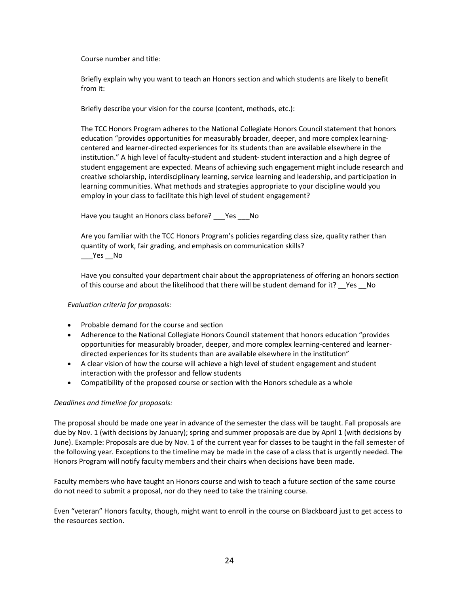Course number and title:

Briefly explain why you want to teach an Honors section and which students are likely to benefit from it:

Briefly describe your vision for the course (content, methods, etc.):

The TCC Honors Program adheres to the National Collegiate Honors Council statement that honors education "provides opportunities for measurably broader, deeper, and more complex learningcentered and learner-directed experiences for its students than are available elsewhere in the institution." A high level of faculty-student and student- student interaction and a high degree of student engagement are expected. Means of achieving such engagement might include research and creative scholarship, interdisciplinary learning, service learning and leadership, and participation in learning communities. What methods and strategies appropriate to your discipline would you employ in your class to facilitate this high level of student engagement?

Have you taught an Honors class before? \_\_\_Yes \_\_\_ No

Are you familiar with the TCC Honors Program's policies regarding class size, quality rather than quantity of work, fair grading, and emphasis on communication skills?  $\rule{1em}{0.15mm}$   $\qquad$   $\qquad$   $\qquad$  Yes  $\rule{1em}{0.15mm}$  No

Have you consulted your department chair about the appropriateness of offering an honors section of this course and about the likelihood that there will be student demand for it? Yes No

### *Evaluation criteria for proposals:*

- Probable demand for the course and section
- Adherence to the National Collegiate Honors Council statement that honors education "provides opportunities for measurably broader, deeper, and more complex learning-centered and learnerdirected experiences for its students than are available elsewhere in the institution"
- A clear vision of how the course will achieve a high level of student engagement and student interaction with the professor and fellow students
- Compatibility of the proposed course or section with the Honors schedule as a whole

### *Deadlines and timeline for proposals:*

The proposal should be made one year in advance of the semester the class will be taught. Fall proposals are due by Nov. 1 (with decisions by January); spring and summer proposals are due by April 1 (with decisions by June). Example: Proposals are due by Nov. 1 of the current year for classes to be taught in the fall semester of the following year. Exceptions to the timeline may be made in the case of a class that is urgently needed. The Honors Program will notify faculty members and their chairs when decisions have been made.

Faculty members who have taught an Honors course and wish to teach a future section of the same course do not need to submit a proposal, nor do they need to take the training course.

Even "veteran" Honors faculty, though, might want to enroll in the course on Blackboard just to get access to the resources section.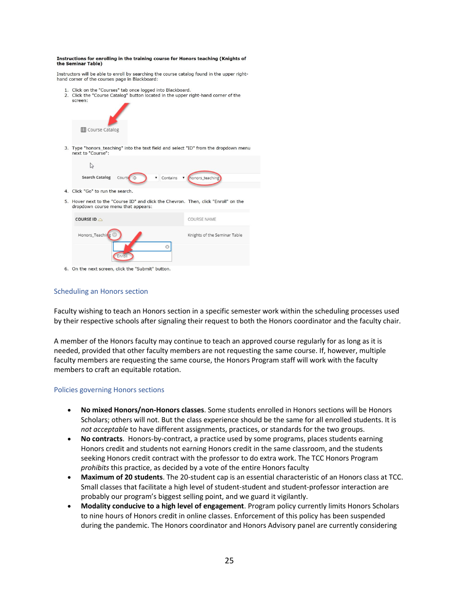#### Instructions for enrolling in the training course for Honors teaching (Knights of the Seminar Table)

Instructors will be able to enroll by searching the course catalog found in the upper righthand corner of the courses page in Blackboard:

- 1. Click on the "Courses" tab once logged into Blackboard.
- 2. Click the "Course Catalog" button located in the upper right-hand corner of the

| screen:                                                                                                                   |                              |
|---------------------------------------------------------------------------------------------------------------------------|------------------------------|
| <b>III</b> Course Catalog                                                                                                 |                              |
| 3. Type "honors_teaching" into the text field and select "ID" from the dropdown menu<br>next to "Course":                 |                              |
| Ľ                                                                                                                         |                              |
| <b>Search Catalog</b><br>Course ID<br>Contains                                                                            | v (honors_teaching)          |
| 4. Click "Go" to run the search.                                                                                          |                              |
| 5. Hover next to the "Course ID" and click the Chevron. Then, click "Enroll" on the<br>dropdown course menu that appears: |                              |
| COURSE ID 4                                                                                                               | COURSE NAME                  |
| Honors_Teaching                                                                                                           | Knights of the Seminar Table |
| Enroll                                                                                                                    |                              |

6. On the next screen, click the "Submit" button.

### Scheduling an Honors section

Faculty wishing to teach an Honors section in a specific semester work within the scheduling processes used by their respective schools after signaling their request to both the Honors coordinator and the faculty chair.

A member of the Honors faculty may continue to teach an approved course regularly for as long as it is needed, provided that other faculty members are not requesting the same course. If, however, multiple faculty members are requesting the same course, the Honors Program staff will work with the faculty members to craft an equitable rotation.

#### Policies governing Honors sections

- **No mixed Honors/non-Honors classes**. Some students enrolled in Honors sections will be Honors Scholars; others will not. But the class experience should be the same for all enrolled students. It is *not acceptable* to have different assignments, practices, or standards for the two groups.
- **No contracts**. Honors-by-contract, a practice used by some programs, places students earning Honors credit and students not earning Honors credit in the same classroom, and the students seeking Honors credit contract with the professor to do extra work. The TCC Honors Program *prohibits* this practice, as decided by a vote of the entire Honors faculty
- **Maximum of 20 students**. The 20-student cap is an essential characteristic of an Honors class at TCC. Small classes that facilitate a high level of student-student and student-professor interaction are probably our program's biggest selling point, and we guard it vigilantly.
- **Modality conducive to a high level of engagement**. Program policy currently limits Honors Scholars to nine hours of Honors credit in online classes. Enforcement of this policy has been suspended during the pandemic. The Honors coordinator and Honors Advisory panel are currently considering